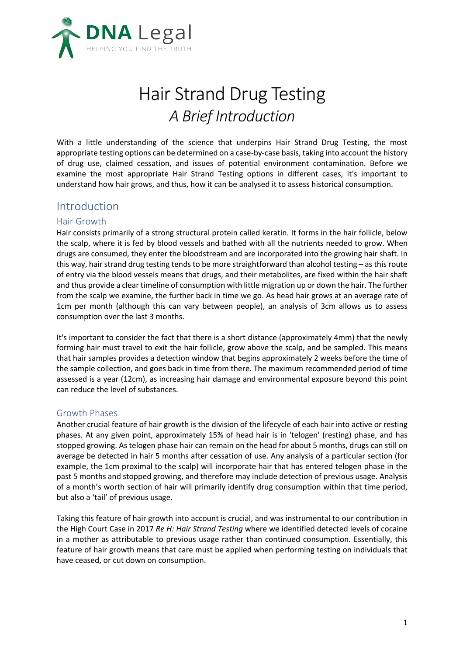

# Hair Strand Drug Testing *A Brief Introduction*

With a little understanding of the science that underpins Hair Strand Drug Testing, the most appropriate testing options can be determined on a case-by-case basis, taking into account the history of drug use, claimed cessation, and issues of potential environment contamination. Before we examine the most appropriate Hair Strand Testing options in different cases, it's important to understand how hair grows, and thus, how it can be analysed it to assess historical consumption.

### Introduction

#### Hair Growth

Hair consists primarily of a strong structural protein called keratin. It forms in the hair follicle, below the scalp, where it is fed by blood vessels and bathed with all the nutrients needed to grow. When drugs are consumed, they enter the bloodstream and are incorporated into the growing hair shaft. In this way, hair strand drug testing tends to be more straightforward than alcohol testing – as this route of entry via the blood vessels means that drugs, and their metabolites, are fixed within the hair shaft and thus provide a clear timeline of consumption with little migration up or down the hair. The further from the scalp we examine, the further back in time we go. As head hair grows at an average rate of 1cm per month (although this can vary between people), an analysis of 3cm allows us to assess consumption over the last 3 months.

It's important to consider the fact that there is a short distance (approximately 4mm) that the newly forming hair must travel to exit the hair follicle, grow above the scalp, and be sampled. This means that hair samples provides a detection window that begins approximately 2 weeks before the time of the sample collection, and goes back in time from there. The maximum recommended period of time assessed is a year (12cm), as increasing hair damage and environmental exposure beyond this point can reduce the level of substances.

#### Growth Phases

Another crucial feature of hair growth is the division of the lifecycle of each hair into active or resting phases. At any given point, approximately 15% of head hair is in 'telogen' (resting) phase, and has stopped growing. As telogen phase hair can remain on the head for about 5 months, drugs can still on average be detected in hair 5 months after cessation of use. Any analysis of a particular section (for example, the 1cm proximal to the scalp) will incorporate hair that has entered telogen phase in the past 5 months and stopped growing, and therefore may include detection of previous usage. Analysis of a month's worth section of hair will primarily identify drug consumption within that time period, but also a 'tail' of previous usage.

Taking this feature of hair growth into account is crucial, and was instrumental to our contribution in the High Court Case in 2017 *Re H: Hair Strand Testing* where we identified detected levels of cocaine in a mother as attributable to previous usage rather than continued consumption. Essentially, this feature of hair growth means that care must be applied when performing testing on individuals that have ceased, or cut down on consumption.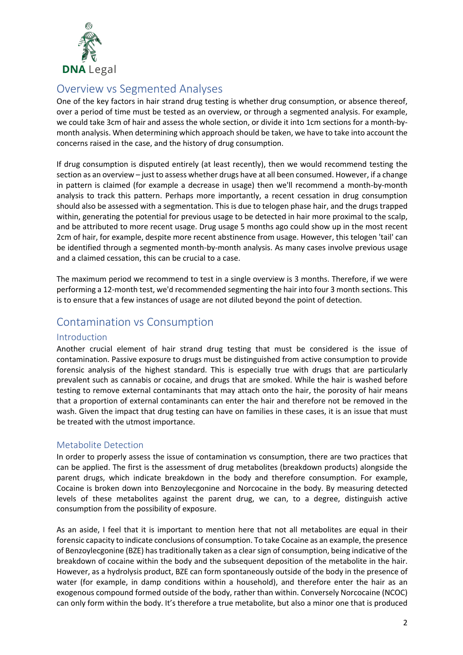

## Overview vs Segmented Analyses

One of the key factors in hair strand drug testing is whether drug consumption, or absence thereof, over a period of time must be tested as an overview, or through a segmented analysis. For example, we could take 3cm of hair and assess the whole section, or divide it into 1cm sections for a month-bymonth analysis. When determining which approach should be taken, we have to take into account the concerns raised in the case, and the history of drug consumption.

If drug consumption is disputed entirely (at least recently), then we would recommend testing the section as an overview – just to assess whether drugs have at all been consumed. However, if a change in pattern is claimed (for example a decrease in usage) then we'll recommend a month-by-month analysis to track this pattern. Perhaps more importantly, a recent cessation in drug consumption should also be assessed with a segmentation. This is due to telogen phase hair, and the drugs trapped within, generating the potential for previous usage to be detected in hair more proximal to the scalp, and be attributed to more recent usage. Drug usage 5 months ago could show up in the most recent 2cm of hair, for example, despite more recent abstinence from usage. However, this telogen 'tail' can be identified through a segmented month-by-month analysis. As many cases involve previous usage and a claimed cessation, this can be crucial to a case.

The maximum period we recommend to test in a single overview is 3 months. Therefore, if we were performing a 12-month test, we'd recommended segmenting the hair into four 3 month sections. This is to ensure that a few instances of usage are not diluted beyond the point of detection.

## Contamination vs Consumption

#### Introduction

Another crucial element of hair strand drug testing that must be considered is the issue of contamination. Passive exposure to drugs must be distinguished from active consumption to provide forensic analysis of the highest standard. This is especially true with drugs that are particularly prevalent such as cannabis or cocaine, and drugs that are smoked. While the hair is washed before testing to remove external contaminants that may attach onto the hair, the porosity of hair means that a proportion of external contaminants can enter the hair and therefore not be removed in the wash. Given the impact that drug testing can have on families in these cases, it is an issue that must be treated with the utmost importance.

#### Metabolite Detection

In order to properly assess the issue of contamination vs consumption, there are two practices that can be applied. The first is the assessment of drug metabolites (breakdown products) alongside the parent drugs, which indicate breakdown in the body and therefore consumption. For example, Cocaine is broken down into Benzoylecgonine and Norcocaine in the body. By measuring detected levels of these metabolites against the parent drug, we can, to a degree, distinguish active consumption from the possibility of exposure.

As an aside, I feel that it is important to mention here that not all metabolites are equal in their forensic capacity to indicate conclusions of consumption. To take Cocaine as an example, the presence of Benzoylecgonine (BZE) has traditionally taken as a clear sign of consumption, being indicative of the breakdown of cocaine within the body and the subsequent deposition of the metabolite in the hair. However, as a hydrolysis product, BZE can form spontaneously outside of the body in the presence of water (for example, in damp conditions within a household), and therefore enter the hair as an exogenous compound formed outside of the body, rather than within. Conversely Norcocaine (NCOC) can only form within the body. It's therefore a true metabolite, but also a minor one that is produced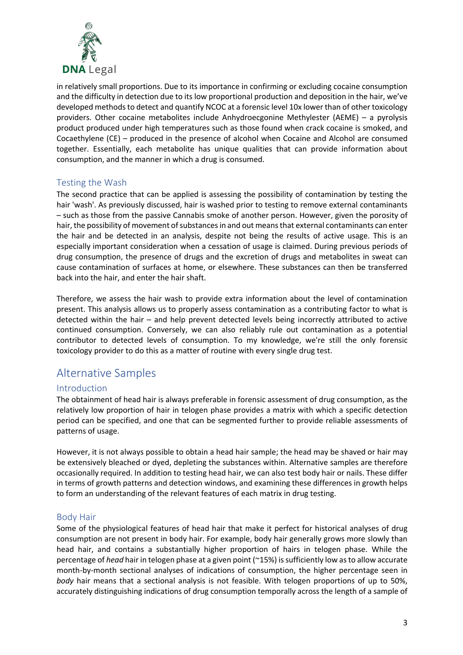

in relatively small proportions. Due to its importance in confirming or excluding cocaine consumption and the difficulty in detection due to its low proportional production and deposition in the hair, we've developed methods to detect and quantify NCOC at a forensic level 10x lower than of other toxicology providers. Other cocaine metabolites include Anhydroecgonine Methylester (AEME) – a pyrolysis product produced under high temperatures such as those found when crack cocaine is smoked, and Cocaethylene (CE) – produced in the presence of alcohol when Cocaine and Alcohol are consumed together. Essentially, each metabolite has unique qualities that can provide information about consumption, and the manner in which a drug is consumed.

#### Testing the Wash

The second practice that can be applied is assessing the possibility of contamination by testing the hair 'wash'. As previously discussed, hair is washed prior to testing to remove external contaminants – such as those from the passive Cannabis smoke of another person. However, given the porosity of hair, the possibility of movement of substances in and out means that external contaminants can enter the hair and be detected in an analysis, despite not being the results of active usage. This is an especially important consideration when a cessation of usage is claimed. During previous periods of drug consumption, the presence of drugs and the excretion of drugs and metabolites in sweat can cause contamination of surfaces at home, or elsewhere. These substances can then be transferred back into the hair, and enter the hair shaft.

Therefore, we assess the hair wash to provide extra information about the level of contamination present. This analysis allows us to properly assess contamination as a contributing factor to what is detected within the hair – and help prevent detected levels being incorrectly attributed to active continued consumption. Conversely, we can also reliably rule out contamination as a potential contributor to detected levels of consumption. To my knowledge, we're still the only forensic toxicology provider to do this as a matter of routine with every single drug test.

## Alternative Samples

#### Introduction

The obtainment of head hair is always preferable in forensic assessment of drug consumption, as the relatively low proportion of hair in telogen phase provides a matrix with which a specific detection period can be specified, and one that can be segmented further to provide reliable assessments of patterns of usage.

However, it is not always possible to obtain a head hair sample; the head may be shaved or hair may be extensively bleached or dyed, depleting the substances within. Alternative samples are therefore occasionally required. In addition to testing head hair, we can also test body hair or nails. These differ in terms of growth patterns and detection windows, and examining these differences in growth helps to form an understanding of the relevant features of each matrix in drug testing.

#### Body Hair

Some of the physiological features of head hair that make it perfect for historical analyses of drug consumption are not present in body hair. For example, body hair generally grows more slowly than head hair, and contains a substantially higher proportion of hairs in telogen phase. While the percentage of *head* hair in telogen phase at a given point (~15%) is sufficiently low as to allow accurate month-by-month sectional analyses of indications of consumption, the higher percentage seen in *body* hair means that a sectional analysis is not feasible. With telogen proportions of up to 50%, accurately distinguishing indications of drug consumption temporally across the length of a sample of